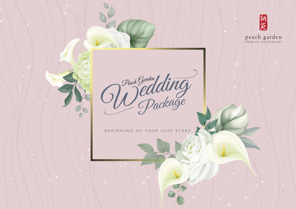

peach garden

Peach Garden<br>Dealding

BEGINNING OF YOUR LOVE STORY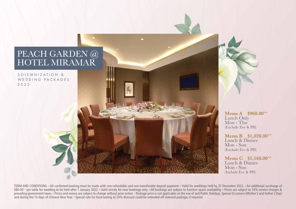# PEACH GARDEN @ HOTEL MIRAMAR

SOLEMNIZATION & WEDDING PACKAGES 2022

> **Menu A \$968.00++** Lunch Only Mon - Thu (Exclude Eve & PH)

**Menu B \$1,028.00++**  Lunch & Dinner Mon - Sun (Exclude Eve & PH)

**Menu C \$1,168.00++** Lunch & Dinner Mon - Sun (Include Eve & PH)

TERM AND CONDITIONS: • All confirmed booking must be made with non-refundable and non-transferable deposit payment. • Valid for weddings held by 31 December 2022. • An additional surcharge of \$80.00<sup>++</sup> per table for wedding to be held after 1 January 2023. • Valid strictly for new bookings only. • All bookings are subject to function space availability. • Prices are subject to 10% service charges & prevailing government taxes. • Prices and menus are subject to change without prior notice. • Package price is not applicable on the eve of and Public Holidays, Special Occasions (Mother's and Father's Day) and during the 15 days of Chinese New Year. • Special rate for food tasting at 20% discount could be extended off selected package, if required.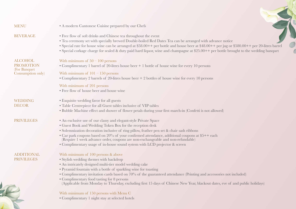#### **MENU**

BEVERAGE

• Free flow of soft drinks and Chinese tea throughout the event

• A modern Cantonese Cuisine prepared by our Chefs

- Tea ceremony set with specially brewed Double-boiled Red Dates Tea can be arranged with advance notice
- Special rate for house wine can be arranged at \$58.00++ per bottle and house beer at \$48.00++ per jug or \$580.00++ per 20-litres barrel
- Special corkage charge for sealed & duty paid hard liquor, wine and champagne at \$25.00++ per bottle brought to the wedding banquet

## With minimum of  $50 - 100$  persons

• Complimentary 1 barrel of 20-litres house beer + 1 bottle of house wine for every 10 persons

#### With minimum of  $101 - 150$  persons

• Complimentary 2 barrels of 20-litres house beer + 2 bottles of house wine for every 10 persons

#### With minimum of 201 persons

• Free flow of house beer and house wine

## • Exquisite wedding favor for all guests

- Table Centrepiece for all Guest tables inclusive of VIP tables
- Bubble Machine effect and shower of flower petals during your first march-in (Confetti is not allowed)

## • An exclusive use of our classy and elegant-style Private Space

- Guest Book and Wedding Token Box for the reception desk
- Solemnization decoration inclusive of ring pillow, feather pen set & chair sash ribbons
- Car park coupons based on 20% of your confirmed attendance, additional coupons at \$5++ each (Require 1 week advance order, coupons are non-exchangeable and non-refundable)
- Complimentary usage of in-house sound system with LCD projector & screen

## With minimum of 100 persons & above

- Stylish wedding themes with backdrop
- An intricately designed multi-tier model wedding cake
- Pyramid fountain with a bottle of sparkling wine for toasting
- Complimentary invitation cards based on 70% of the guaranteed attendance (Printing and accessories not included)
- Complimentary food tasting for 8 persons (Applicable from Monday to Thursday, excluding first 15 days of Chinese New Year, blackout dates, eve of and public holidays)

# With minimum of 150 persons with Menu C

• Complimentary 1 night stay at selected hotels

# ALCOHOL **PROMOTION** (For Banquet Consumption only)

# WEDDING **DECOR**

# PRIVILEGES

# ADDITIONAL PRIVILEGES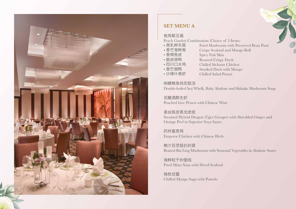

# **SET MENU A**

# 桃苑献五福

Peach Garden Combination (Choice of 5 Items)<br>•南乳鲜冬菇 Fried Mushroom with Pre

- 南乳鲜冬菇 Fried Mushroom with Preserved Bean Paste<br>• 香芒海鲜卷 Crispy Seafood and Mango Roll
- 香芒海鲜卷 Crispy Seafood and Mango Roll<br>• 香辣鱼皮 Spicy Fish Skin
- 
- 香辣鱼皮 Spicy Fish Skin<br>• 脆皮烧鸭 Roasted Crispy
- 四川口水鸡 Chilled Sichuan Chicken<br>• 香芒烟鸭 Smoked Duck with Mang
- 
- 
- 香芒烟鸭 Smoked Duck with Mango Chilled Salad Prawn

Roasted Crispy Duck

响螺鲍鱼炖花菇汤

Double-boiled Sea Whelk, Baby Abalone and Shiitake Mushroom Soup

花雕酒醉生虾 Poached Live Prawn with Chinese Wine

姜丝陈皮蒸龙虎斑 Steamed Hybrid Dragon-Tiger Grouper with Shredded Ginger and Orange Peel in Superior Soya Sauce

药材富贵鸡 Emperor Chicken with Chinese Herb

鲍汁百灵菇扒时蔬 Braised Bai Ling Mushroom with Seasonal Vegetables in Abalone Sauce

海鲜粒干炒面线 Fried Mian Xian with Diced Seafood

杨枝甘露 Chilled Mango Sago with Pomelo